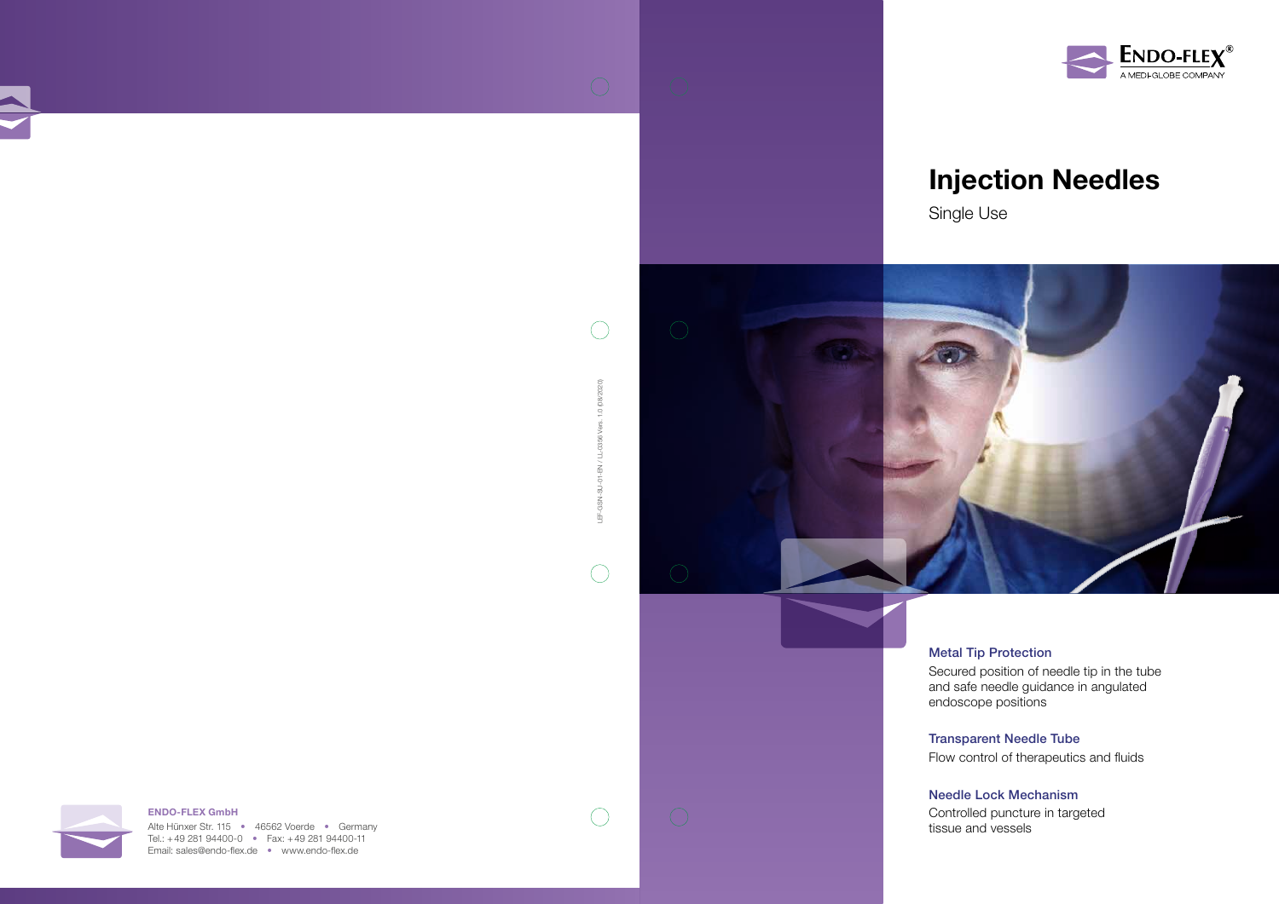## Injection Needles





### Metal Tip Protection

Secured position of needle tip in the tube and safe needle guidance in angulated endoscope positions

## Transparent Needle Tube

Flow control of therapeutics and fluids

Alte Hünxer Str. 115 • 46562 Voerde • Germany Tel.: +49 281 94400-0 • Fax: +49 281 94400-11 Email: sales@endo-flex.de • www.endo-flex.de



#### Needle Lock Mechanism

Controlled puncture in targeted tissue and vessels



LEF-GSN-SU-01-EN / LL-0356 Vers. 1.0 (08/2020)

 $\overline{Q}$  $\overline{5}$ **Z** 雪

 $\bigcap$ 

 $\bigcirc$ 

EN / LL-0356

 $(2020)$  $\overline{8}$  $\overline{1.0}$ Vers.

 $\bigcap$ 

 $\bigcirc$